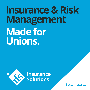# **Insurance & Risk Management Made for Unions.**



Insurance<br>Solutions

**Better results.**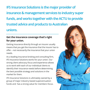**IFS Insurance Solutions is the major provider of insurance & management services to industry super funds, and works together with the ACTU to provide trusted advice and products to Australian unions.**

# **Get the insurance coverage that's right for your union.**

Getting insurance directly through an insurer usually means that you get the insurance that the insurer has to offer – not necessarily the insurance that your union needs.

As a leading insurance broking and consulting firm, IFS Insurance Solutions works for your union. Our strong client advocacy focus and experience allows us to work with each of our individual clients to identify their insurance needs before determining the best possible strategy and solutions in the market for them.

IFS Insurance Solutions is ultimately owned by a group of major industry based superannuation funds and has a strong value for members focus.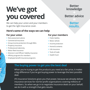# **We've got you covered**

We can help your union and your members to get the right insurance cover.

## **Here's some of the ways we can help:**

## **For your union**

- **›** Risk assessment advice
- **›** Commercial insurance
- **›** Group income protection through EBAs
- **›** Property insurance
- **›** Professional indemnity
- **›** Motor fleet insurance
- **›** Directors' and Officers' liability insurance
- **›** Affinity programs for members
- **›** Employee benefit insurance programs

### **For your members**

- **›** Public liability
- **›** Motor vehicle
- **›** Income protection
- **›** Home & contents
- **›** Life insurance
- **›** Tools of trade
- **›** Health Fund

# **The buying power to get you the best deal**

When you're trying to get the products you need at a fair price, it makes a big difference if you've got buying power to leverage the best possible deal.

IFS Insurance Solutions gives you that power, because we already deliver insurance services for not-for-profit organisations covering millions of members. So when we go in to negotiate insurance deals on your behalf, we do it with a strength that gets results.

**Better knowledge**

# **Better advice**

# **Better results.**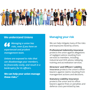

## **We understand Unions Managing your risk**

*Managing a union has risks, even if you have an experienced and prudent management team.*

*Unions are exposed to risks that can disadvantage your members, be financially costly, and result in a bankruptcy for its officers.*

**We can help your union manage these risks."**

We can help mitigate many of the risks and exposures faced by unions.

### **Professional Indemnity insurance**

protects the union against allegations of negligent advice resulting from services to members, including industrial and OHS advice, lobbying, training and accreditation services.

### **Directors' and Officers' Liability**

**insurance** protects the union's officebearers against claims resulting from management actions and decisions.

### **Statutory Liability insurance**

protects the union and its officebearers against fines or penalties and defence costs permitted by law.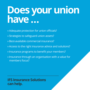# **Does your union have …**

- **›** Adequate protection for union officials?
- **›** Strategies to safeguard union assets?
- **›** Best-available commercial insurance?
- **›** Access to the right insurance advice and solutions?
- **›** Insurance programs to benefit your members?
- **›** Insurance through an organisation with a value for members focus?

# **IFS Insurance Solutions can help.**